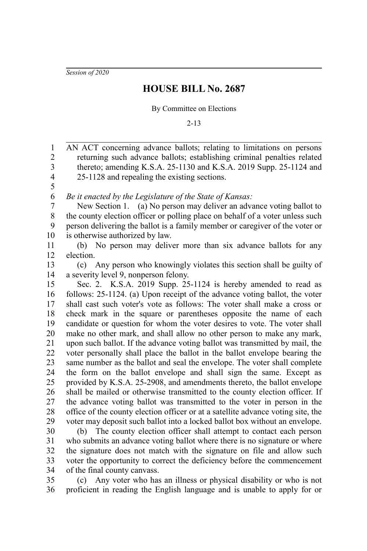*Session of 2020*

## **HOUSE BILL No. 2687**

## By Committee on Elections

2-13

AN ACT concerning advance ballots; relating to limitations on persons returning such advance ballots; establishing criminal penalties related thereto; amending K.S.A. 25-1130 and K.S.A. 2019 Supp. 25-1124 and 25-1128 and repealing the existing sections. *Be it enacted by the Legislature of the State of Kansas:* New Section 1. (a) No person may deliver an advance voting ballot to the county election officer or polling place on behalf of a voter unless such person delivering the ballot is a family member or caregiver of the voter or is otherwise authorized by law. (b) No person may deliver more than six advance ballots for any election. (c) Any person who knowingly violates this section shall be guilty of a severity level 9, nonperson felony. Sec. 2. K.S.A. 2019 Supp. 25-1124 is hereby amended to read as follows: 25-1124. (a) Upon receipt of the advance voting ballot, the voter shall cast such voter's vote as follows: The voter shall make a cross or check mark in the square or parentheses opposite the name of each candidate or question for whom the voter desires to vote. The voter shall make no other mark, and shall allow no other person to make any mark, upon such ballot. If the advance voting ballot was transmitted by mail, the voter personally shall place the ballot in the ballot envelope bearing the same number as the ballot and seal the envelope. The voter shall complete the form on the ballot envelope and shall sign the same. Except as provided by K.S.A. 25-2908, and amendments thereto, the ballot envelope shall be mailed or otherwise transmitted to the county election officer. If the advance voting ballot was transmitted to the voter in person in the office of the county election officer or at a satellite advance voting site, the voter may deposit such ballot into a locked ballot box without an envelope. (b) The county election officer shall attempt to contact each person who submits an advance voting ballot where there is no signature or where the signature does not match with the signature on file and allow such voter the opportunity to correct the deficiency before the commencement of the final county canvass. 1 2 3 4 5 6 7 8 9 10 11 12 13 14 15 16 17 18 19 20 21 22 23 24 25 26 27 28 29 30 31 32 33 34

(c) Any voter who has an illness or physical disability or who is not proficient in reading the English language and is unable to apply for or 35 36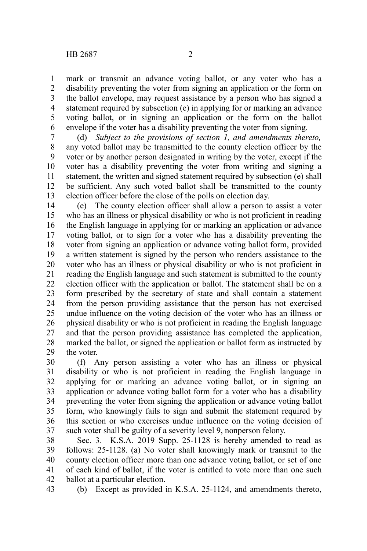mark or transmit an advance voting ballot, or any voter who has a disability preventing the voter from signing an application or the form on the ballot envelope, may request assistance by a person who has signed a statement required by subsection (e) in applying for or marking an advance voting ballot, or in signing an application or the form on the ballot envelope if the voter has a disability preventing the voter from signing. 1 2 3 4 5 6

(d) *Subject to the provisions of section 1, and amendments thereto,* any voted ballot may be transmitted to the county election officer by the voter or by another person designated in writing by the voter, except if the voter has a disability preventing the voter from writing and signing a statement, the written and signed statement required by subsection (e) shall be sufficient. Any such voted ballot shall be transmitted to the county election officer before the close of the polls on election day. 7 8 9 10 11 12 13

(e) The county election officer shall allow a person to assist a voter who has an illness or physical disability or who is not proficient in reading the English language in applying for or marking an application or advance voting ballot, or to sign for a voter who has a disability preventing the voter from signing an application or advance voting ballot form, provided a written statement is signed by the person who renders assistance to the voter who has an illness or physical disability or who is not proficient in reading the English language and such statement is submitted to the county election officer with the application or ballot. The statement shall be on a form prescribed by the secretary of state and shall contain a statement from the person providing assistance that the person has not exercised undue influence on the voting decision of the voter who has an illness or physical disability or who is not proficient in reading the English language and that the person providing assistance has completed the application, marked the ballot, or signed the application or ballot form as instructed by the voter. 14 15 16 17 18 19 20 21 22 23 24 25 26 27 28 29

(f) Any person assisting a voter who has an illness or physical disability or who is not proficient in reading the English language in applying for or marking an advance voting ballot, or in signing an application or advance voting ballot form for a voter who has a disability preventing the voter from signing the application or advance voting ballot form, who knowingly fails to sign and submit the statement required by this section or who exercises undue influence on the voting decision of such voter shall be guilty of a severity level 9, nonperson felony. 30 31 32 33 34 35 36 37

Sec. 3. K.S.A. 2019 Supp. 25-1128 is hereby amended to read as follows: 25-1128. (a) No voter shall knowingly mark or transmit to the county election officer more than one advance voting ballot, or set of one of each kind of ballot, if the voter is entitled to vote more than one such ballot at a particular election. 38 39 40 41 42

(b) Except as provided in K.S.A. 25-1124, and amendments thereto, 43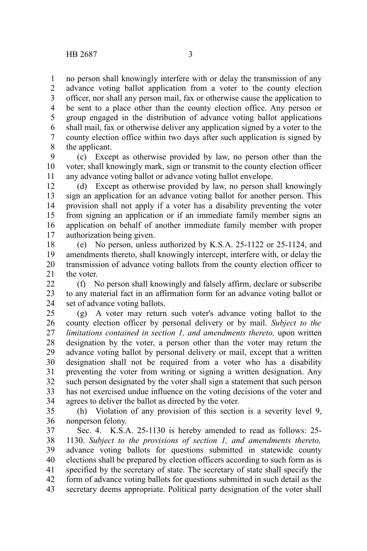no person shall knowingly interfere with or delay the transmission of any advance voting ballot application from a voter to the county election officer, nor shall any person mail, fax or otherwise cause the application to be sent to a place other than the county election office. Any person or group engaged in the distribution of advance voting ballot applications shall mail, fax or otherwise deliver any application signed by a voter to the county election office within two days after such application is signed by the applicant. 1 2 3 4 5 6 7 8

(c) Except as otherwise provided by law, no person other than the voter, shall knowingly mark, sign or transmit to the county election officer any advance voting ballot or advance voting ballot envelope. 9 10 11

(d) Except as otherwise provided by law, no person shall knowingly sign an application for an advance voting ballot for another person. This provision shall not apply if a voter has a disability preventing the voter from signing an application or if an immediate family member signs an application on behalf of another immediate family member with proper authorization being given. 12 13 14 15 16 17

(e) No person, unless authorized by K.S.A. 25-1122 or 25-1124, and amendments thereto, shall knowingly intercept, interfere with, or delay the transmission of advance voting ballots from the county election officer to the voter. 18 19 20 21

(f) No person shall knowingly and falsely affirm, declare or subscribe to any material fact in an affirmation form for an advance voting ballot or set of advance voting ballots. 22 23 24

(g) A voter may return such voter's advance voting ballot to the county election officer by personal delivery or by mail. *Subject to the limitations contained in section 1, and amendments thereto,* upon written designation by the voter, a person other than the voter may return the advance voting ballot by personal delivery or mail, except that a written designation shall not be required from a voter who has a disability preventing the voter from writing or signing a written designation. Any such person designated by the voter shall sign a statement that such person has not exercised undue influence on the voting decisions of the voter and agrees to deliver the ballot as directed by the voter. 25 26 27 28 29 30 31 32 33 34

(h) Violation of any provision of this section is a severity level 9, nonperson felony. 35 36

Sec. 4. K.S.A. 25-1130 is hereby amended to read as follows: 25- 1130. *Subject to the provisions of section 1, and amendments thereto,* advance voting ballots for questions submitted in statewide county elections shall be prepared by election officers according to such form as is specified by the secretary of state. The secretary of state shall specify the form of advance voting ballots for questions submitted in such detail as the secretary deems appropriate. Political party designation of the voter shall 37 38 39 40 41 42 43